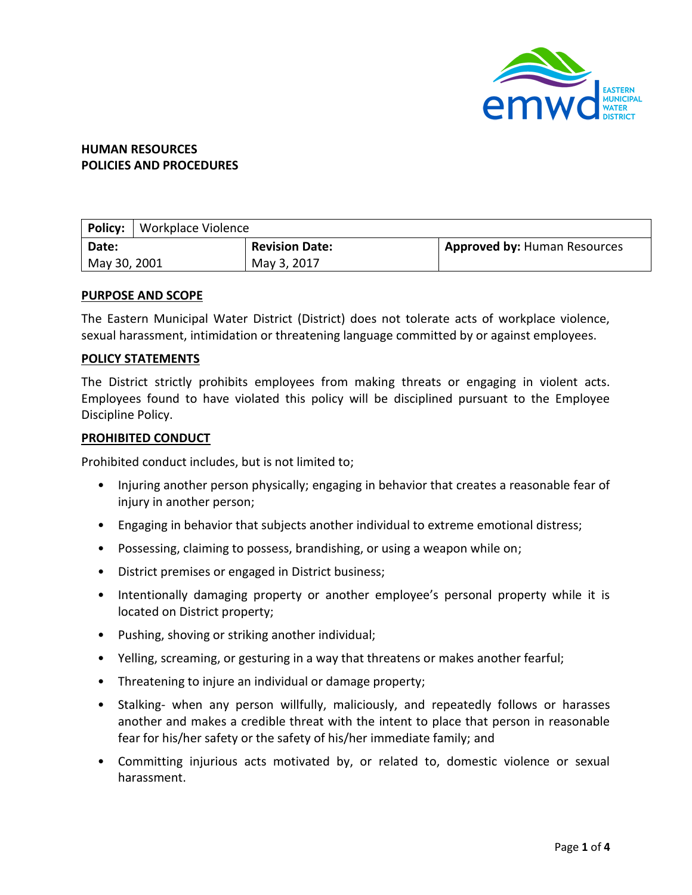

# **HUMAN RESOURCES POLICIES AND PROCEDURES**

| <b>Policy:</b> | Workplace Violence |                       |                                     |
|----------------|--------------------|-----------------------|-------------------------------------|
| Date:          |                    | <b>Revision Date:</b> | <b>Approved by: Human Resources</b> |
| May 30, 2001   |                    | May 3, 2017           |                                     |

### **PURPOSE AND SCOPE**

The Eastern Municipal Water District (District) does not tolerate acts of workplace violence, sexual harassment, intimidation or threatening language committed by or against employees.

### **POLICY STATEMENTS**

The District strictly prohibits employees from making threats or engaging in violent acts. Employees found to have violated this policy will be disciplined pursuant to the Employee Discipline Policy.

### **PROHIBITED CONDUCT**

Prohibited conduct includes, but is not limited to;

- Injuring another person physically; engaging in behavior that creates a reasonable fear of injury in another person;
- Engaging in behavior that subjects another individual to extreme emotional distress;
- Possessing, claiming to possess, brandishing, or using a weapon while on;
- District premises or engaged in District business;
- Intentionally damaging property or another employee's personal property while it is located on District property;
- Pushing, shoving or striking another individual;
- Yelling, screaming, or gesturing in a way that threatens or makes another fearful;
- Threatening to injure an individual or damage property;
- Stalking- when any person willfully, maliciously, and repeatedly follows or harasses another and makes a credible threat with the intent to place that person in reasonable fear for his/her safety or the safety of his/her immediate family; and
- Committing injurious acts motivated by, or related to, domestic violence or sexual harassment.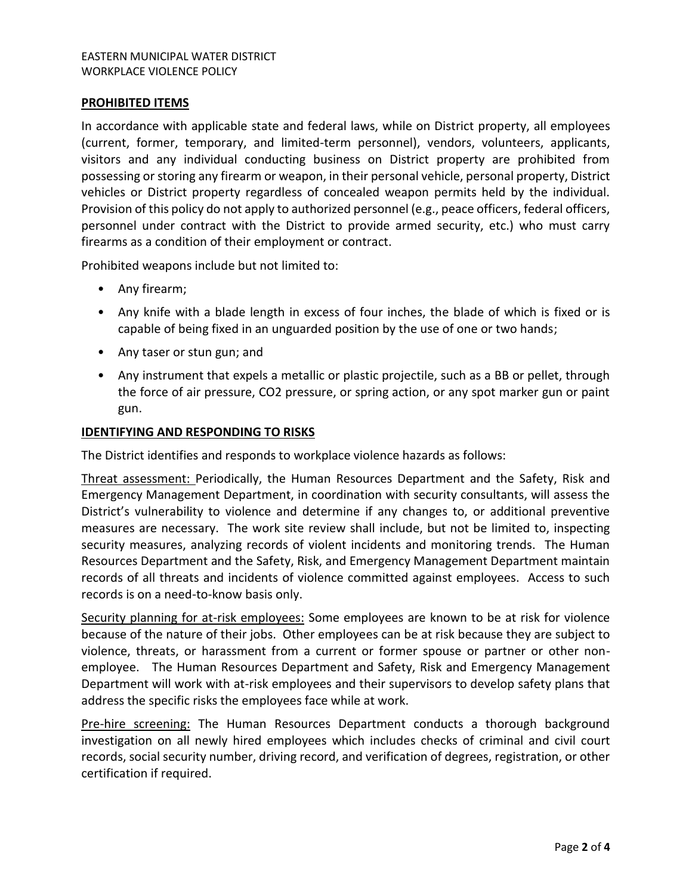### EASTERN MUNICIPAL WATER DISTRICT WORKPLACE VIOLENCE POLICY

### **PROHIBITED ITEMS**

In accordance with applicable state and federal laws, while on District property, all employees (current, former, temporary, and limited-term personnel), vendors, volunteers, applicants, visitors and any individual conducting business on District property are prohibited from possessing or storing any firearm or weapon, in their personal vehicle, personal property, District vehicles or District property regardless of concealed weapon permits held by the individual. Provision of this policy do not apply to authorized personnel (e.g., peace officers, federal officers, personnel under contract with the District to provide armed security, etc.) who must carry firearms as a condition of their employment or contract.

Prohibited weapons include but not limited to:

- Any firearm;
- Any knife with a blade length in excess of four inches, the blade of which is fixed or is capable of being fixed in an unguarded position by the use of one or two hands;
- Any taser or stun gun; and
- Any instrument that expels a metallic or plastic projectile, such as a BB or pellet, through the force of air pressure, CO2 pressure, or spring action, or any spot marker gun or paint gun.

### **IDENTIFYING AND RESPONDING TO RISKS**

The District identifies and responds to workplace violence hazards as follows:

Threat assessment: Periodically, the Human Resources Department and the Safety, Risk and Emergency Management Department, in coordination with security consultants, will assess the District's vulnerability to violence and determine if any changes to, or additional preventive measures are necessary. The work site review shall include, but not be limited to, inspecting security measures, analyzing records of violent incidents and monitoring trends. The Human Resources Department and the Safety, Risk, and Emergency Management Department maintain records of all threats and incidents of violence committed against employees. Access to such records is on a need-to-know basis only.

Security planning for at-risk employees: Some employees are known to be at risk for violence because of the nature of their jobs. Other employees can be at risk because they are subject to violence, threats, or harassment from a current or former spouse or partner or other nonemployee. The Human Resources Department and Safety, Risk and Emergency Management Department will work with at-risk employees and their supervisors to develop safety plans that address the specific risks the employees face while at work.

Pre-hire screening: The Human Resources Department conducts a thorough background investigation on all newly hired employees which includes checks of criminal and civil court records, social security number, driving record, and verification of degrees, registration, or other certification if required.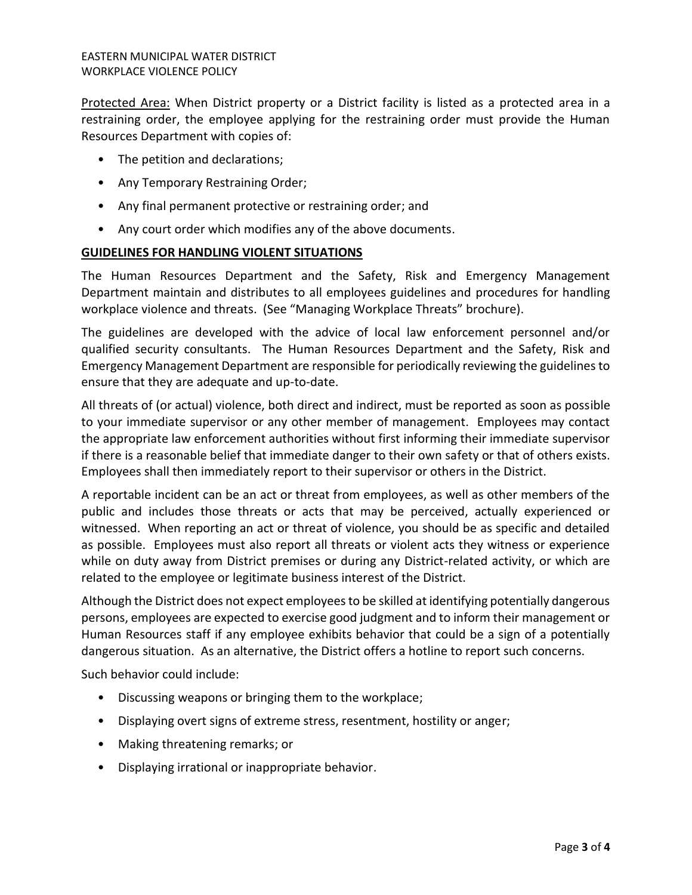Protected Area: When District property or a District facility is listed as a protected area in a restraining order, the employee applying for the restraining order must provide the Human Resources Department with copies of:

- The petition and declarations;
- Any Temporary Restraining Order;
- Any final permanent protective or restraining order; and
- Any court order which modifies any of the above documents.

## **GUIDELINES FOR HANDLING VIOLENT SITUATIONS**

The Human Resources Department and the Safety, Risk and Emergency Management Department maintain and distributes to all employees guidelines and procedures for handling workplace violence and threats. (See "Managing Workplace Threats" brochure).

The guidelines are developed with the advice of local law enforcement personnel and/or qualified security consultants. The Human Resources Department and the Safety, Risk and Emergency Management Department are responsible for periodically reviewing the guidelines to ensure that they are adequate and up-to-date.

All threats of (or actual) violence, both direct and indirect, must be reported as soon as possible to your immediate supervisor or any other member of management. Employees may contact the appropriate law enforcement authorities without first informing their immediate supervisor if there is a reasonable belief that immediate danger to their own safety or that of others exists. Employees shall then immediately report to their supervisor or others in the District.

A reportable incident can be an act or threat from employees, as well as other members of the public and includes those threats or acts that may be perceived, actually experienced or witnessed. When reporting an act or threat of violence, you should be as specific and detailed as possible. Employees must also report all threats or violent acts they witness or experience while on duty away from District premises or during any District-related activity, or which are related to the employee or legitimate business interest of the District.

Although the District does not expect employees to be skilled at identifying potentially dangerous persons, employees are expected to exercise good judgment and to inform their management or Human Resources staff if any employee exhibits behavior that could be a sign of a potentially dangerous situation. As an alternative, the District offers a hotline to report such concerns.

Such behavior could include:

- Discussing weapons or bringing them to the workplace;
- Displaying overt signs of extreme stress, resentment, hostility or anger;
- Making threatening remarks; or
- Displaying irrational or inappropriate behavior.